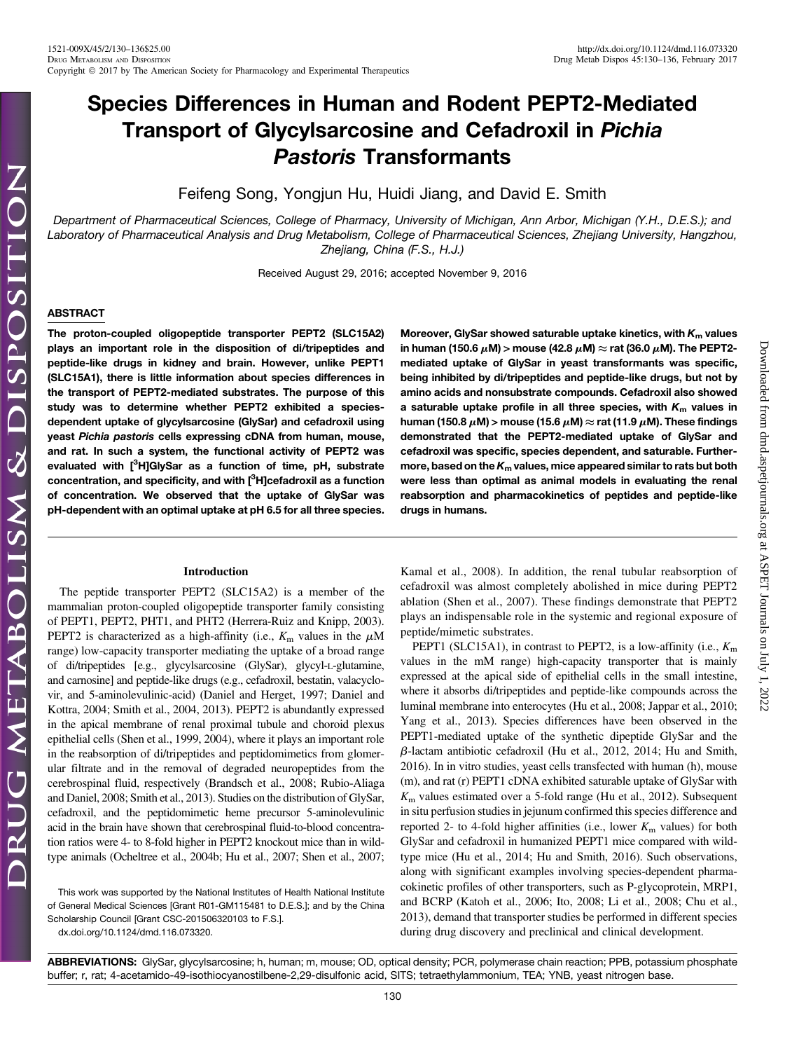Downloaded from [dmd.aspetjournals.org](http://dmd.aspetjournals.org/) at ASPET Journals on July 1, 2022

Downloaded from dmd.aspetjournals.org at ASPET Journals on July 1, 2022

# Species Differences in Human and Rodent PEPT2-Mediated Transport of Glycylsarcosine and Cefadroxil in Pichia Pastoris Transformants

Feifeng Song, Yongjun Hu, Huidi Jiang, and David E. Smith

Department of Pharmaceutical Sciences, College of Pharmacy, University of Michigan, Ann Arbor, Michigan (Y.H., D.E.S.); and Laboratory of Pharmaceutical Analysis and Drug Metabolism, College of Pharmaceutical Sciences, Zhejiang University, Hangzhou, Zhejiang, China (F.S., H.J.)

Received August 29, 2016; accepted November 9, 2016

## ABSTRACT

The proton-coupled oligopeptide transporter PEPT2 (SLC15A2) plays an important role in the disposition of di/tripeptides and peptide-like drugs in kidney and brain. However, unlike PEPT1 (SLC15A1), there is little information about species differences in the transport of PEPT2-mediated substrates. The purpose of this study was to determine whether PEPT2 exhibited a speciesdependent uptake of glycylsarcosine (GlySar) and cefadroxil using yeast Pichia pastoris cells expressing cDNA from human, mouse, and rat. In such a system, the functional activity of PEPT2 was evaluated with [<sup>3</sup>H]GlySar as a function of time, pH, substrate concentration, and specificity, and with [<sup>3</sup>H]cefadroxil as a function of concentration. We observed that the uptake of GlySar was pH-dependent with an optimal uptake at pH 6.5 for all three species.

## Introduction

The peptide transporter PEPT2 (SLC15A2) is a member of the mammalian proton-coupled oligopeptide transporter family consisting of PEPT1, PEPT2, PHT1, and PHT2 (Herrera-Ruiz and Knipp, 2003). PEPT2 is characterized as a high-affinity (i.e.,  $K<sub>m</sub>$  values in the  $\mu$ M range) low-capacity transporter mediating the uptake of a broad range of di/tripeptides [e.g., glycylsarcosine (GlySar), glycyl-L-glutamine, and carnosine] and peptide-like drugs (e.g., cefadroxil, bestatin, valacyclovir, and 5-aminolevulinic-acid) (Daniel and Herget, 1997; Daniel and Kottra, 2004; Smith et al., 2004, 2013). PEPT2 is abundantly expressed in the apical membrane of renal proximal tubule and choroid plexus epithelial cells (Shen et al., 1999, 2004), where it plays an important role in the reabsorption of di/tripeptides and peptidomimetics from glomerular filtrate and in the removal of degraded neuropeptides from the cerebrospinal fluid, respectively (Brandsch et al., 2008; Rubio-Aliaga and Daniel, 2008; Smith et al., 2013). Studies on the distribution of GlySar, cefadroxil, and the peptidomimetic heme precursor 5-aminolevulinic acid in the brain have shown that cerebrospinal fluid-to-blood concentration ratios were 4- to 8-fold higher in PEPT2 knockout mice than in wildtype animals (Ocheltree et al., 2004b; Hu et al., 2007; Shen et al., 2007;

This work was supported by the National Institutes of Health National Institute of General Medical Sciences [Grant R01-GM115481 to D.E.S.]; and by the China Scholarship Council [Grant CSC-201506320103 to F.S.]. [dx.doi.org/10.1124/dmd.116.073320.](http://dx.doi.org/10.1124/dmd.116.073320)

Moreover, GlySar showed saturable uptake kinetics, with  $K_{m}$  values in human (150.6  $\mu$ M) > mouse (42.8  $\mu$ M)  $\approx$  rat (36.0  $\mu$ M). The PEPT2mediated uptake of GlySar in yeast transformants was specific, being inhibited by di/tripeptides and peptide-like drugs, but not by amino acids and nonsubstrate compounds. Cefadroxil also showed a saturable uptake profile in all three species, with  $K<sub>m</sub>$  values in human (150.8  $\mu$ M) > mouse (15.6  $\mu$ M)  $\approx$  rat (11.9  $\mu$ M). These findings demonstrated that the PEPT2-mediated uptake of GlySar and cefadroxil was specific, species dependent, and saturable. Furthermore, based on the  $K<sub>m</sub>$  values, mice appeared similar to rats but both were less than optimal as animal models in evaluating the renal reabsorption and pharmacokinetics of peptides and peptide-like drugs in humans.

Kamal et al., 2008). In addition, the renal tubular reabsorption of cefadroxil was almost completely abolished in mice during PEPT2 ablation (Shen et al., 2007). These findings demonstrate that PEPT2 plays an indispensable role in the systemic and regional exposure of peptide/mimetic substrates.

PEPT1 (SLC15A1), in contrast to PEPT2, is a low-affinity (i.e.,  $K<sub>m</sub>$ ) values in the mM range) high-capacity transporter that is mainly expressed at the apical side of epithelial cells in the small intestine, where it absorbs di/tripeptides and peptide-like compounds across the luminal membrane into enterocytes (Hu et al., 2008; Jappar et al., 2010; Yang et al., 2013). Species differences have been observed in the PEPT1-mediated uptake of the synthetic dipeptide GlySar and the  $\beta$ -lactam antibiotic cefadroxil (Hu et al., 2012, 2014; Hu and Smith, 2016). In in vitro studies, yeast cells transfected with human (h), mouse (m), and rat (r) PEPT1 cDNA exhibited saturable uptake of GlySar with  $K<sub>m</sub>$  values estimated over a 5-fold range (Hu et al., 2012). Subsequent in situ perfusion studies in jejunum confirmed this species difference and reported 2- to 4-fold higher affinities (i.e., lower  $K<sub>m</sub>$  values) for both GlySar and cefadroxil in humanized PEPT1 mice compared with wildtype mice (Hu et al., 2014; Hu and Smith, 2016). Such observations, along with significant examples involving species-dependent pharmacokinetic profiles of other transporters, such as P-glycoprotein, MRP1, and BCRP (Katoh et al., 2006; Ito, 2008; Li et al., 2008; Chu et al., 2013), demand that transporter studies be performed in different species during drug discovery and preclinical and clinical development.

ABBREVIATIONS: GlySar, glycylsarcosine; h, human; m, mouse; OD, optical density; PCR, polymerase chain reaction; PPB, potassium phosphate buffer; r, rat; 4-acetamido-49-isothiocyanostilbene-2,29-disulfonic acid, SITS; tetraethylammonium, TEA; YNB, yeast nitrogen base.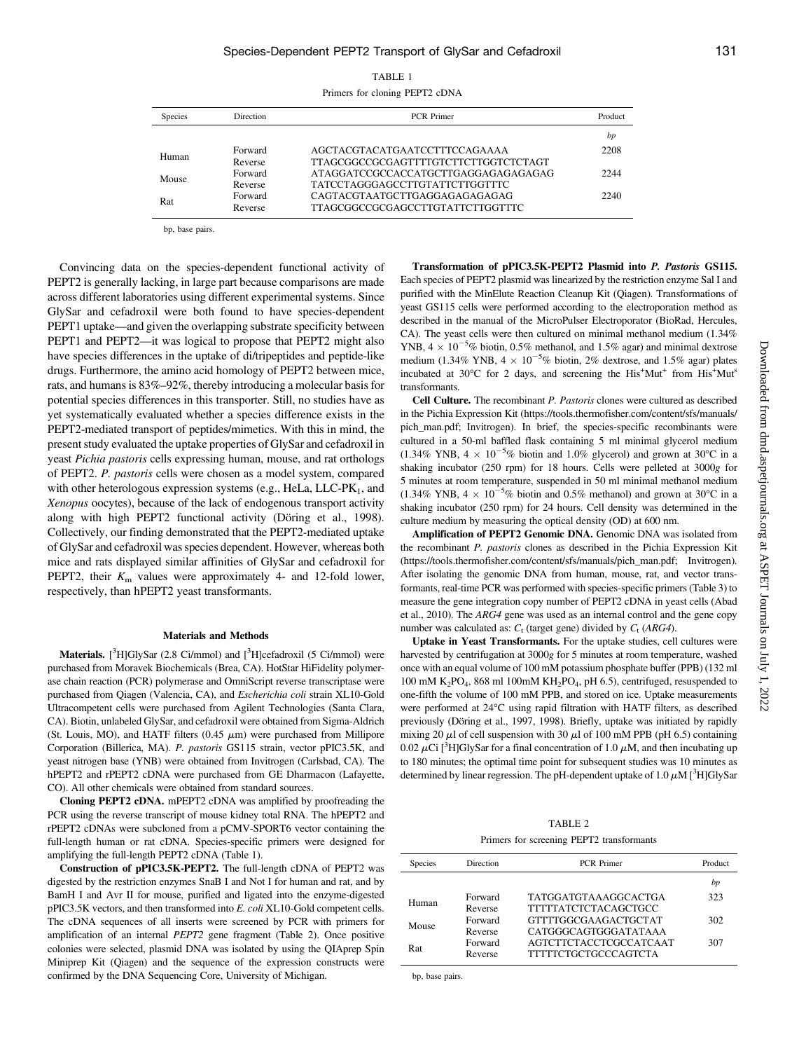|--|

| <b>Species</b> | <b>Direction</b>   | <b>PCR</b> Primer                                                     | Product |
|----------------|--------------------|-----------------------------------------------------------------------|---------|
|                |                    |                                                                       | bp      |
| Human          | Forward<br>Reverse | AGCTACGTACATGAATCCTTTCCAGAAAA<br>TTAGCGGCCGCGAGTTTTGTCTTCTTGGTCTCTAGT | 2208    |
| Mouse          | Forward<br>Reverse | ATAGGATCCGCCACCATGCTTGAGGAGAGAGAGAG<br>TATCCTAGGGAGCCTTGTATTCTTGGTTTC | 2244    |
| Rat            | Forward<br>Reverse | CAGTACGTAATGCTTGAGGAGAGAGAGAG<br>TTAGCGGCCGCGAGCCTTGTATTCTTGGTTTC     | 2240    |

bp, base pairs.

Convincing data on the species-dependent functional activity of PEPT2 is generally lacking, in large part because comparisons are made across different laboratories using different experimental systems. Since GlySar and cefadroxil were both found to have species-dependent PEPT1 uptake—and given the overlapping substrate specificity between PEPT1 and PEPT2—it was logical to propose that PEPT2 might also have species differences in the uptake of di/tripeptides and peptide-like drugs. Furthermore, the amino acid homology of PEPT2 between mice, rats, and humans is 83%–92%, thereby introducing a molecular basis for potential species differences in this transporter. Still, no studies have as yet systematically evaluated whether a species difference exists in the PEPT2-mediated transport of peptides/mimetics. With this in mind, the present study evaluated the uptake properties of GlySar and cefadroxil in yeast Pichia pastoris cells expressing human, mouse, and rat orthologs of PEPT2. P. pastoris cells were chosen as a model system, compared with other heterologous expression systems (e.g., HeLa, LLC-P $K_1$ , and Xenopus oocytes), because of the lack of endogenous transport activity along with high PEPT2 functional activity (Döring et al., 1998). Collectively, our finding demonstrated that the PEPT2-mediated uptake of GlySar and cefadroxil was species dependent. However, whereas both mice and rats displayed similar affinities of GlySar and cefadroxil for PEPT2, their  $K<sub>m</sub>$  values were approximately 4- and 12-fold lower, respectively, than hPEPT2 yeast transformants.

## Materials and Methods

Materials. [<sup>3</sup>H]GlySar (2.8 Ci/mmol) and [<sup>3</sup>H]cefadroxil (5 Ci/mmol) were purchased from Moravek Biochemicals (Brea, CA). HotStar HiFidelity polymerase chain reaction (PCR) polymerase and OmniScript reverse transcriptase were purchased from Qiagen (Valencia, CA), and Escherichia coli strain XL10-Gold Ultracompetent cells were purchased from Agilent Technologies (Santa Clara, CA). Biotin, unlabeled GlySar, and cefadroxil were obtained from Sigma-Aldrich (St. Louis, MO), and HATF filters  $(0.45 \mu m)$  were purchased from Millipore Corporation (Billerica, MA). P. pastoris GS115 strain, vector pPIC3.5K, and yeast nitrogen base (YNB) were obtained from Invitrogen (Carlsbad, CA). The hPEPT2 and rPEPT2 cDNA were purchased from GE Dharmacon (Lafayette, CO). All other chemicals were obtained from standard sources.

Cloning PEPT2 cDNA. mPEPT2 cDNA was amplified by proofreading the PCR using the reverse transcript of mouse kidney total RNA. The hPEPT2 and rPEPT2 cDNAs were subcloned from a pCMV-SPORT6 vector containing the full-length human or rat cDNA. Species-specific primers were designed for amplifying the full-length PEPT2 cDNA (Table 1).

Construction of pPIC3.5K-PEPT2. The full-length cDNA of PEPT2 was digested by the restriction enzymes SnaB I and Not I for human and rat, and by BamH I and Avr II for mouse, purified and ligated into the enzyme-digested pPIC3.5K vectors, and then transformed into E. coli XL10-Gold competent cells. The cDNA sequences of all inserts were screened by PCR with primers for amplification of an internal PEPT2 gene fragment (Table 2). Once positive colonies were selected, plasmid DNA was isolated by using the QIAprep Spin Miniprep Kit (Qiagen) and the sequence of the expression constructs were confirmed by the DNA Sequencing Core, University of Michigan.

Transformation of pPIC3.5K-PEPT2 Plasmid into P. Pastoris GS115. Each species of PEPT2 plasmid was linearized by the restriction enzyme Sal I and purified with the MinElute Reaction Cleanup Kit (Qiagen). Transformations of yeast GS115 cells were performed according to the electroporation method as described in the manual of the MicroPulser Electroporator (BioRad, Hercules, CA). The yeast cells were then cultured on minimal methanol medium (1.34% YNB,  $4 \times 10^{-5}$ % biotin, 0.5% methanol, and 1.5% agar) and minimal dextrose medium (1.34% YNB,  $4 \times 10^{-5}$ % biotin, 2% dextrose, and 1.5% agar) plates incubated at 30°C for 2 days, and screening the His<sup>+</sup>Mut<sup>+</sup> from His<sup>+</sup>Mut<sup>8</sup> transformants.

Cell Culture. The recombinant P. Pastoris clones were cultured as described in the Pichia Expression Kit ([https://tools.thermofisher.com/content/sfs/manuals/](https://tools.thermofisher.com/content/sfs/manuals/pich_man.pdf) [pich\\_man.pdf;](https://tools.thermofisher.com/content/sfs/manuals/pich_man.pdf) Invitrogen). In brief, the species-specific recombinants were cultured in a 50-ml baffled flask containing 5 ml minimal glycerol medium (1.34% YNB,  $4 \times 10^{-5}$ % biotin and 1.0% glycerol) and grown at 30°C in a shaking incubator (250 rpm) for 18 hours. Cells were pelleted at 3000g for 5 minutes at room temperature, suspended in 50 ml minimal methanol medium (1.34% YNB,  $4 \times 10^{-5}$ % biotin and 0.5% methanol) and grown at 30°C in a shaking incubator (250 rpm) for 24 hours. Cell density was determined in the culture medium by measuring the optical density (OD) at 600 nm.

Amplification of PEPT2 Genomic DNA. Genomic DNA was isolated from the recombinant P. pastoris clones as described in the Pichia Expression Kit [\(https://tools.thermofisher.com/content/sfs/manuals/pich\\_man.pdf](https://tools.thermofisher.com/content/sfs/manuals/pich_man.pdf); Invitrogen). After isolating the genomic DNA from human, mouse, rat, and vector transformants, real-time PCR was performed with species-specific primers (Table 3) to measure the gene integration copy number of PEPT2 cDNA in yeast cells (Abad et al., 2010). The ARG4 gene was used as an internal control and the gene copy number was calculated as:  $C_t$  (target gene) divided by  $C_t$  (ARG4).

Uptake in Yeast Transformants. For the uptake studies, cell cultures were harvested by centrifugation at 3000g for 5 minutes at room temperature, washed once with an equal volume of 100 mM potassium phosphate buffer (PPB) (132 ml 100 mM  $K_2PO_4$ , 868 ml 100mM  $KH_2PO_4$ , pH 6.5), centrifuged, resuspended to one-fifth the volume of 100 mM PPB, and stored on ice. Uptake measurements were performed at 24°C using rapid filtration with HATF filters, as described previously (Döring et al., 1997, 1998). Briefly, uptake was initiated by rapidly mixing 20  $\mu$ l of cell suspension with 30  $\mu$ l of 100 mM PPB (pH 6.5) containing 0.02  $\mu$ Ci [<sup>3</sup>H]GlySar for a final concentration of 1.0  $\mu$ M, and then incubating up to 180 minutes; the optimal time point for subsequent studies was 10 minutes as determined by linear regression. The pH-dependent uptake of 1.0  $\mu$ M [<sup>3</sup>H]GlySar

TABLE 2 Primers for screening PEPT2 transformants

| <b>Species</b> | Direction          | <b>PCR</b> Primer                                          | Product |
|----------------|--------------------|------------------------------------------------------------|---------|
|                |                    |                                                            | bp      |
| Human          | Forward<br>Reverse | <b>TATGGATGTAAAGGCACTGA</b><br><b>TTTTTATCTCTACAGCTGCC</b> | 323     |
| Mouse          | Forward<br>Reverse | <b>GTTTTGGCGAAGACTGCTAT</b><br>CATGGGCAGTGGGATATAAA        | 302     |
| Rat            | Forward<br>Reverse | AGTCTTCTACCTCGCCATCAAT<br><b>TTTTTCTGCTGCCCAGTCTA</b>      | 307     |

bp, base pairs.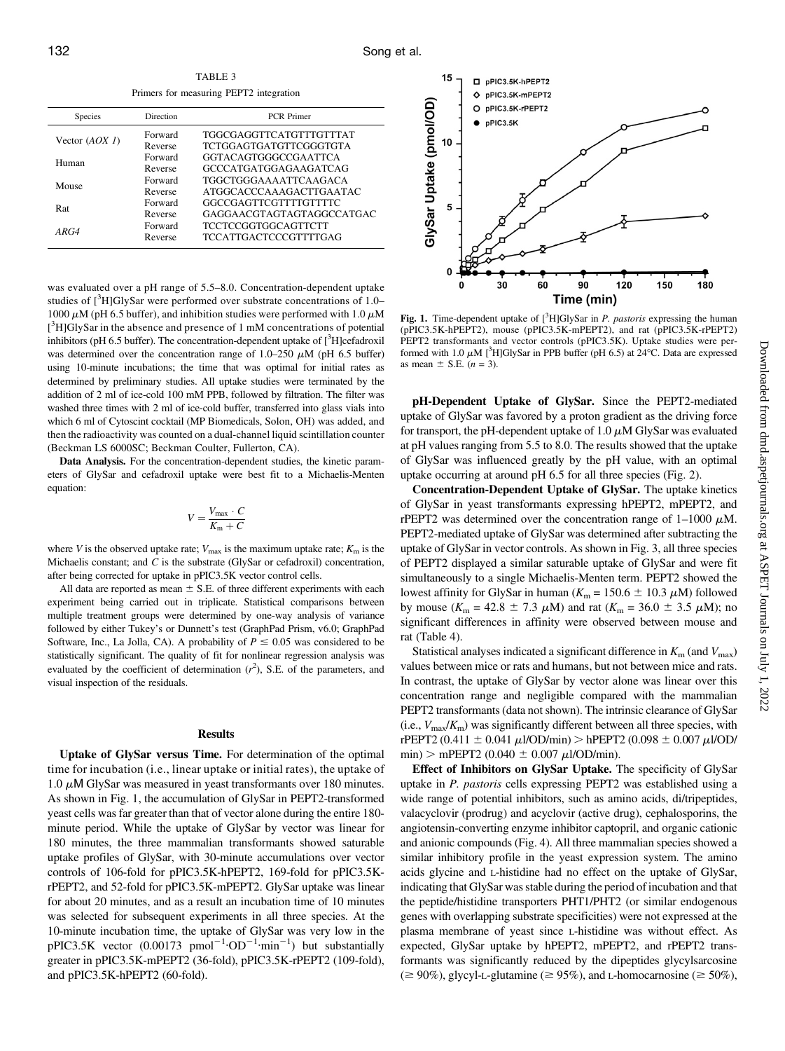TABLE 3 Primers for measuring PEPT? integration

| <b>Species</b>   | Direction          | <b>PCR</b> Primer                                    |  |
|------------------|--------------------|------------------------------------------------------|--|
| Vector $(AOX I)$ | Forward<br>Reverse | TGGCGAGGTTCATGTTTGTTTAT<br>TCTGGAGTGATGTTCGGGTGTA    |  |
| Human            | Forward<br>Reverse | <b>GGTACAGTGGGCCGAATTCA</b><br>GCCCATGATGGAGAAGATCAG |  |
| Mouse            | Forward<br>Reverse | TGGCTGGGAAAATTCAAGACA<br>ATGGCACCCAAAGACTTGAATAC     |  |
| Rat              | Forward<br>Reverse | GGCCGAGTTCGTTTTGTTTTC<br>GAGGAACGTAGTAGTAGGCCATGAC   |  |
| ARG4             | Forward<br>Reverse | TCCTCCGGTGGCAGTTCTT<br>TCCATTGACTCCCGTTTTGAG         |  |

was evaluated over a pH range of 5.5–8.0. Concentration-dependent uptake studies of [<sup>3</sup>H]GlySar were performed over substrate concentrations of 1.0– 1000  $\mu$ M (pH 6.5 buffer), and inhibition studies were performed with 1.0  $\mu$ M [<sup>3</sup>H]GlySar in the absence and presence of 1 mM concentrations of potential inhibitors (pH 6.5 buffer). The concentration-dependent uptake of  $[^{3}$ H]cefadroxil was determined over the concentration range of 1.0–250  $\mu$ M (pH 6.5 buffer) using 10-minute incubations; the time that was optimal for initial rates as determined by preliminary studies. All uptake studies were terminated by the addition of 2 ml of ice-cold 100 mM PPB, followed by filtration. The filter was washed three times with 2 ml of ice-cold buffer, transferred into glass vials into which 6 ml of Cytoscint cocktail (MP Biomedicals, Solon, OH) was added, and then the radioactivity was counted on a dual-channel liquid scintillation counter (Beckman LS 6000SC; Beckman Coulter, Fullerton, CA).

Data Analysis. For the concentration-dependent studies, the kinetic parameters of GlySar and cefadroxil uptake were best fit to a Michaelis-Menten equation:

$$
V = \frac{V_{\text{max}} \cdot C}{K_{\text{m}} + C}
$$

where V is the observed uptake rate;  $V_{\text{max}}$  is the maximum uptake rate;  $K_{\text{m}}$  is the Michaelis constant; and  $C$  is the substrate (GlySar or cefadroxil) concentration, after being corrected for uptake in pPIC3.5K vector control cells.

All data are reported as mean  $\pm$  S.E. of three different experiments with each experiment being carried out in triplicate. Statistical comparisons between multiple treatment groups were determined by one-way analysis of variance followed by either Tukey's or Dunnett's test (GraphPad Prism, v6.0; GraphPad Software, Inc., La Jolla, CA). A probability of  $P \le 0.05$  was considered to be statistically significant. The quality of fit for nonlinear regression analysis was evaluated by the coefficient of determination  $(r^2)$ , S.E. of the parameters, and visual inspection of the residuals.

## **Results**

Uptake of GlySar versus Time. For determination of the optimal time for incubation (i.e., linear uptake or initial rates), the uptake of 1.0  $\mu$ M GlySar was measured in yeast transformants over 180 minutes. As shown in Fig. 1, the accumulation of GlySar in PEPT2-transformed yeast cells was far greater than that of vector alone during the entire 180 minute period. While the uptake of GlySar by vector was linear for 180 minutes, the three mammalian transformants showed saturable uptake profiles of GlySar, with 30-minute accumulations over vector controls of 106-fold for pPIC3.5K-hPEPT2, 169-fold for pPIC3.5KrPEPT2, and 52-fold for pPIC3.5K-mPEPT2. GlySar uptake was linear for about 20 minutes, and as a result an incubation time of 10 minutes was selected for subsequent experiments in all three species. At the 10-minute incubation time, the uptake of GlySar was very low in the pPIC3.5K vector  $(0.00173 \text{ pmol}^{-1} \cdot \text{OD}^{-1} \cdot \text{min}^{-1})$  but substantially greater in pPIC3.5K-mPEPT2 (36-fold), pPIC3.5K-rPEPT2 (109-fold), and pPIC3.5K-hPEPT2 (60-fold).



Fig. 1. Time-dependent uptake of  $[^3H]$ GlySar in *P. pastoris* expressing the human (pPIC3.5K-hPEPT2), mouse (pPIC3.5K-mPEPT2), and rat (pPIC3.5K-rPEPT2) PEPT2 transformants and vector controls (pPIC3.5K). Uptake studies were performed with 1.0  $\mu$ M [<sup>3</sup>H]GlySar in PPB buffer (pH 6.5) at 24 °C. Data are expressed as mean  $\pm$  S.E. (*n* = 3).

pH-Dependent Uptake of GlySar. Since the PEPT2-mediated uptake of GlySar was favored by a proton gradient as the driving force for transport, the pH-dependent uptake of  $1.0 \mu M$  GlySar was evaluated at pH values ranging from 5.5 to 8.0. The results showed that the uptake of GlySar was influenced greatly by the pH value, with an optimal uptake occurring at around pH 6.5 for all three species (Fig. 2).

Concentration-Dependent Uptake of GlySar. The uptake kinetics of GlySar in yeast transformants expressing hPEPT2, mPEPT2, and rPEPT2 was determined over the concentration range of  $1-1000 \mu M$ . PEPT2-mediated uptake of GlySar was determined after subtracting the uptake of GlySar in vector controls. As shown in Fig. 3, all three species of PEPT2 displayed a similar saturable uptake of GlySar and were fit simultaneously to a single Michaelis-Menten term. PEPT2 showed the lowest affinity for GlySar in human ( $K_m$  = 150.6  $\pm$  10.3  $\mu$ M) followed by mouse ( $K_m = 42.8 \pm 7.3 \mu M$ ) and rat ( $K_m = 36.0 \pm 3.5 \mu M$ ); no significant differences in affinity were observed between mouse and rat (Table 4).

Statistical analyses indicated a significant difference in  $K<sub>m</sub>$  (and  $V<sub>max</sub>$ ) values between mice or rats and humans, but not between mice and rats. In contrast, the uptake of GlySar by vector alone was linear over this concentration range and negligible compared with the mammalian PEPT2 transformants (data not shown). The intrinsic clearance of GlySar (i.e.,  $V_{\text{max}}/K_{\text{m}}$ ) was significantly different between all three species, with rPEPT2 (0.411  $\pm$  0.041  $\mu$ l/OD/min) > hPEPT2 (0.098  $\pm$  0.007  $\mu$ l/OD/  $min$ ) > mPEPT2 (0.040  $\pm$  0.007  $\mu$ l/OD/min).

Effect of Inhibitors on GlySar Uptake. The specificity of GlySar uptake in P. pastoris cells expressing PEPT2 was established using a wide range of potential inhibitors, such as amino acids, di/tripeptides, valacyclovir (prodrug) and acyclovir (active drug), cephalosporins, the angiotensin-converting enzyme inhibitor captopril, and organic cationic and anionic compounds (Fig. 4). All three mammalian species showed a similar inhibitory profile in the yeast expression system. The amino acids glycine and L-histidine had no effect on the uptake of GlySar, indicating that GlySar was stable during the period of incubation and that the peptide/histidine transporters PHT1/PHT2 (or similar endogenous genes with overlapping substrate specificities) were not expressed at the plasma membrane of yeast since L-histidine was without effect. As expected, GlySar uptake by hPEPT2, mPEPT2, and rPEPT2 transformants was significantly reduced by the dipeptides glycylsarcosine  $(\geq 90\%)$ , glycyl-L-glutamine ( $\geq 95\%$ ), and L-homocarnosine ( $\geq 50\%$ ),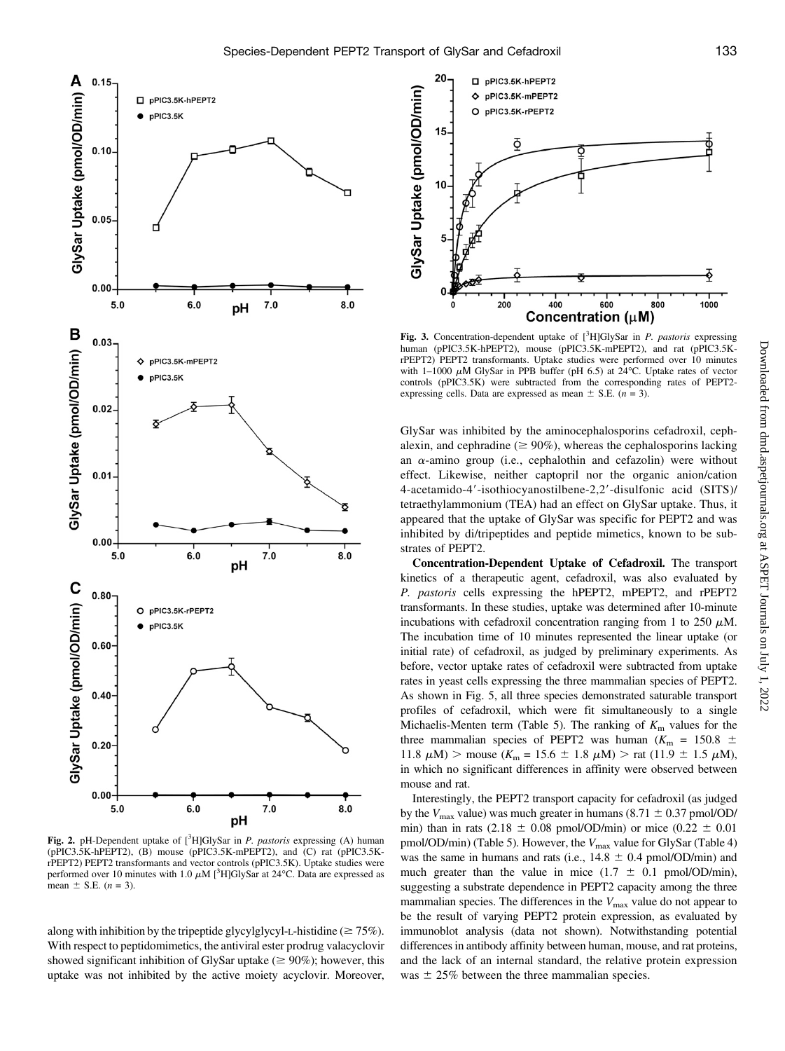

Fig. 2. pH-Dependent uptake of  $[^3H]$ GlySar in *P. pastoris* expressing (A) human  $(pPIC3.5K-hPEPT2)$ ,  $(B)$  mouse  $(pPIC3.5K-mPEPT2)$ , and  $(C)$  rat  $(pPIC3.5K-mPEPT2)$ rPEPT2) PEPT2 transformants and vector controls (pPIC3.5K). Uptake studies were performed over 10 minutes with 1.0  $\mu$ M [<sup>3</sup>H]GlySar at 24°C. Data are expressed as mean  $\pm$  S.E. (*n* = 3).

along with inhibition by the tripeptide glycylglycyl-L-histidine ( $\geq 75\%$ ). With respect to peptidomimetics, the antiviral ester prodrug valacyclovir showed significant inhibition of GlySar uptake ( $\geq 90\%$ ); however, this uptake was not inhibited by the active moiety acyclovir. Moreover,



Fig. 3. Concentration-dependent uptake of  $[^3H]G$ lySar in *P. pastoris* expressing human (pPIC3.5K-hPEPT2), mouse (pPIC3.5K-mPEPT2), and rat (pPIC3.5KrPEPT2) PEPT2 transformants. Uptake studies were performed over 10 minutes with 1-1000  $\mu$ M GlySar in PPB buffer (pH 6.5) at 24°C. Uptake rates of vector controls (pPIC3.5K) were subtracted from the corresponding rates of PEPT2 expressing cells. Data are expressed as mean  $\pm$  S.E. (n = 3).

GlySar was inhibited by the aminocephalosporins cefadroxil, cephalexin, and cephradine ( $\geq 90\%$ ), whereas the cephalosporins lacking an  $\alpha$ -amino group (i.e., cephalothin and cefazolin) were without effect. Likewise, neither captopril nor the organic anion/cation 4-acetamido-4'-isothiocyanostilbene-2,2'-disulfonic acid (SITS)/ tetraethylammonium (TEA) had an effect on GlySar uptake. Thus, it appeared that the uptake of GlySar was specific for PEPT2 and was inhibited by di/tripeptides and peptide mimetics, known to be substrates of PEPT2.

Concentration-Dependent Uptake of Cefadroxil. The transport kinetics of a therapeutic agent, cefadroxil, was also evaluated by P. pastoris cells expressing the hPEPT2, mPEPT2, and rPEPT2 transformants. In these studies, uptake was determined after 10-minute incubations with cefadroxil concentration ranging from 1 to 250  $\mu$ M. The incubation time of 10 minutes represented the linear uptake (or initial rate) of cefadroxil, as judged by preliminary experiments. As before, vector uptake rates of cefadroxil were subtracted from uptake rates in yeast cells expressing the three mammalian species of PEPT2. As shown in Fig. 5, all three species demonstrated saturable transport profiles of cefadroxil, which were fit simultaneously to a single Michaelis-Menten term (Table 5). The ranking of  $K<sub>m</sub>$  values for the three mammalian species of PEPT2 was human ( $K_m$  = 150.8  $\pm$ 11.8  $\mu$ M) > mouse (K<sub>m</sub> = 15.6  $\pm$  1.8  $\mu$ M) > rat (11.9  $\pm$  1.5  $\mu$ M), in which no significant differences in affinity were observed between mouse and rat.

Interestingly, the PEPT2 transport capacity for cefadroxil (as judged by the  $V_{\text{max}}$  value) was much greater in humans (8.71  $\pm$  0.37 pmol/OD/ min) than in rats (2.18  $\pm$  0.08 pmol/OD/min) or mice (0.22  $\pm$  0.01 pmol/OD/min) (Table 5). However, the  $V_{\text{max}}$  value for GlySar (Table 4) was the same in humans and rats (i.e.,  $14.8 \pm 0.4$  pmol/OD/min) and much greater than the value in mice  $(1.7 \pm 0.1 \text{ pmol/OD/min})$ , suggesting a substrate dependence in PEPT2 capacity among the three mammalian species. The differences in the  $V_{\text{max}}$  value do not appear to be the result of varying PEPT2 protein expression, as evaluated by immunoblot analysis (data not shown). Notwithstanding potential differences in antibody affinity between human, mouse, and rat proteins, and the lack of an internal standard, the relative protein expression was  $\pm$  25% between the three mammalian species.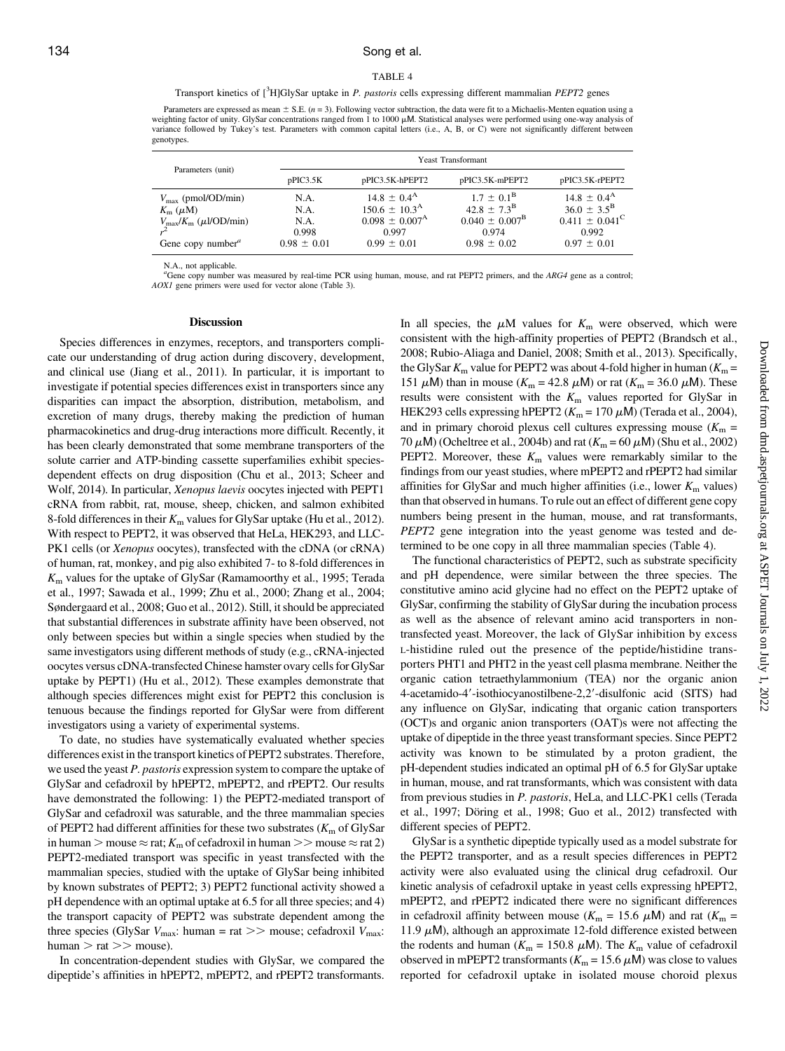## 134 Song et al.

#### TABLE 4

Parameters are expressed as mean  $\pm$  S.E. (n = 3). Following vector subtraction, the data were fit to a Michaelis-Menten equation using a weighting factor of unity. GlySar concentrations ranged from 1 to 1000 μM. Statistical analyses were performed using one-way analysis of variance followed by Tukey's test. Parameters with common capital letters (i.e., A, B, or C) were not significantly different between genotypes.

|                                                 | <b>Yeast Transformant</b> |                             |                           |                           |
|-------------------------------------------------|---------------------------|-----------------------------|---------------------------|---------------------------|
| Parameters (unit)                               | pPIC3.5K                  | pPIC3.5K-hPEPT2             | pPIC3.5K-mPEPT2           | pPIC3.5K-rPEPT2           |
| $V_{\text{max}}$ (pmol/OD/min)                  | N.A.                      | $14.8 \pm 0.4^{\rm A}$      | $1.7 \pm 0.1^{\rm B}$     | $14.8 \pm 0.4^{\rm A}$    |
| $K_{\rm m}$ ( $\mu$ M)                          | N.A.                      | $150.6 \pm 10.3^{\text{A}}$ | $42.8 \pm 7.3^{\rm B}$    | $36.0 \pm 3.5^{\rm B}$    |
| $V_{\text{max}}/K_{\text{m}}$ ( $\mu$ l/OD/min) | N.A.                      | $0.098 \pm 0.007^{\rm A}$   | $0.040 \pm 0.007^{\rm B}$ | $0.411 \pm 0.041^{\circ}$ |
| Gene copy number <sup><math>a</math></sup>      | 0.998                     | 0.997                       | 0.974                     | 0.992                     |
|                                                 | $0.98 \pm 0.01$           | $0.99 \pm 0.01$             | $0.98 \pm 0.02$           | $0.97 \pm 0.01$           |

N.A., not applicable.

<sup>a</sup>Gene copy number was measured by real-time PCR using human, mouse, and rat PEPT2 primers, and the ARG4 gene as a control; AOX1 gene primers were used for vector alone (Table 3).

#### Discussion

Species differences in enzymes, receptors, and transporters complicate our understanding of drug action during discovery, development, and clinical use (Jiang et al., 2011). In particular, it is important to investigate if potential species differences exist in transporters since any disparities can impact the absorption, distribution, metabolism, and excretion of many drugs, thereby making the prediction of human pharmacokinetics and drug-drug interactions more difficult. Recently, it has been clearly demonstrated that some membrane transporters of the solute carrier and ATP-binding cassette superfamilies exhibit speciesdependent effects on drug disposition (Chu et al., 2013; Scheer and Wolf, 2014). In particular, Xenopus laevis oocytes injected with PEPT1 cRNA from rabbit, rat, mouse, sheep, chicken, and salmon exhibited 8-fold differences in their  $K<sub>m</sub>$  values for GlySar uptake (Hu et al., 2012). With respect to PEPT2, it was observed that HeLa, HEK293, and LLC-PK1 cells (or *Xenopus* oocytes), transfected with the cDNA (or cRNA) of human, rat, monkey, and pig also exhibited 7- to 8-fold differences in  $K<sub>m</sub>$  values for the uptake of GlySar (Ramamoorthy et al., 1995; Terada et al., 1997; Sawada et al., 1999; Zhu et al., 2000; Zhang et al., 2004; Søndergaard et al., 2008; Guo et al., 2012). Still, it should be appreciated that substantial differences in substrate affinity have been observed, not only between species but within a single species when studied by the same investigators using different methods of study (e.g., cRNA-injected oocytes versus cDNA-transfected Chinese hamster ovary cells for GlySar uptake by PEPT1) (Hu et al., 2012). These examples demonstrate that although species differences might exist for PEPT2 this conclusion is tenuous because the findings reported for GlySar were from different investigators using a variety of experimental systems.

To date, no studies have systematically evaluated whether species differences exist in the transport kinetics of PEPT2 substrates. Therefore, we used the yeast P. pastoris expression system to compare the uptake of GlySar and cefadroxil by hPEPT2, mPEPT2, and rPEPT2. Our results have demonstrated the following: 1) the PEPT2-mediated transport of GlySar and cefadroxil was saturable, and the three mammalian species of PEPT2 had different affinities for these two substrates  $(K<sub>m</sub>$  of GlySar in human > mouse  $\approx$  rat;  $K_m$  of cefadroxil in human >> mouse  $\approx$  rat 2) PEPT2-mediated transport was specific in yeast transfected with the mammalian species, studied with the uptake of GlySar being inhibited by known substrates of PEPT2; 3) PEPT2 functional activity showed a pH dependence with an optimal uptake at 6.5 for all three species; and 4) the transport capacity of PEPT2 was substrate dependent among the three species (GlySar  $V_{\text{max}}$ : human = rat >> mouse; cefadroxil  $V_{\text{max}}$ :  $human > rat >> mouse$ .

In concentration-dependent studies with GlySar, we compared the dipeptide's affinities in hPEPT2, mPEPT2, and rPEPT2 transformants. In all species, the  $\mu$ M values for  $K_m$  were observed, which were consistent with the high-affinity properties of PEPT2 (Brandsch et al., 2008; Rubio-Aliaga and Daniel, 2008; Smith et al., 2013). Specifically, the GlySar  $K_m$  value for PEPT2 was about 4-fold higher in human ( $K_m$  = 151  $\mu$ M) than in mouse (K<sub>m</sub> = 42.8  $\mu$ M) or rat (K<sub>m</sub> = 36.0  $\mu$ M). These results were consistent with the  $K<sub>m</sub>$  values reported for GlySar in HEK293 cells expressing hPEPT2 ( $K<sub>m</sub>$  = 170  $\mu$ M) (Terada et al., 2004), and in primary choroid plexus cell cultures expressing mouse  $(K<sub>m</sub> =$ 70  $\mu$ M) (Ocheltree et al., 2004b) and rat ( $K_m$  = 60  $\mu$ M) (Shu et al., 2002) PEPT2. Moreover, these  $K<sub>m</sub>$  values were remarkably similar to the findings from our yeast studies, where mPEPT2 and rPEPT2 had similar affinities for GlySar and much higher affinities (i.e., lower  $K<sub>m</sub>$  values) than that observed in humans. To rule out an effect of different gene copy numbers being present in the human, mouse, and rat transformants, PEPT2 gene integration into the yeast genome was tested and determined to be one copy in all three mammalian species (Table 4).

The functional characteristics of PEPT2, such as substrate specificity and pH dependence, were similar between the three species. The constitutive amino acid glycine had no effect on the PEPT2 uptake of GlySar, confirming the stability of GlySar during the incubation process as well as the absence of relevant amino acid transporters in nontransfected yeast. Moreover, the lack of GlySar inhibition by excess L-histidine ruled out the presence of the peptide/histidine transporters PHT1 and PHT2 in the yeast cell plasma membrane. Neither the organic cation tetraethylammonium (TEA) nor the organic anion 4-acetamido-4'-isothiocyanostilbene-2,2'-disulfonic acid (SITS) had any influence on GlySar, indicating that organic cation transporters (OCT)s and organic anion transporters (OAT)s were not affecting the uptake of dipeptide in the three yeast transformant species. Since PEPT2 activity was known to be stimulated by a proton gradient, the pH-dependent studies indicated an optimal pH of 6.5 for GlySar uptake in human, mouse, and rat transformants, which was consistent with data from previous studies in P. pastoris, HeLa, and LLC-PK1 cells (Terada et al., 1997; Döring et al., 1998; Guo et al., 2012) transfected with different species of PEPT2.

GlySar is a synthetic dipeptide typically used as a model substrate for the PEPT2 transporter, and as a result species differences in PEPT2 activity were also evaluated using the clinical drug cefadroxil. Our kinetic analysis of cefadroxil uptake in yeast cells expressing hPEPT2, mPEPT2, and rPEPT2 indicated there were no significant differences in cefadroxil affinity between mouse ( $K_m = 15.6 \mu M$ ) and rat ( $K_m =$ 11.9  $\mu$ M), although an approximate 12-fold difference existed between the rodents and human ( $K_m = 150.8 \mu M$ ). The  $K_m$  value of cefadroxil observed in mPEPT2 transformants ( $K_m$  = 15.6  $\mu$ M) was close to values reported for cefadroxil uptake in isolated mouse choroid plexus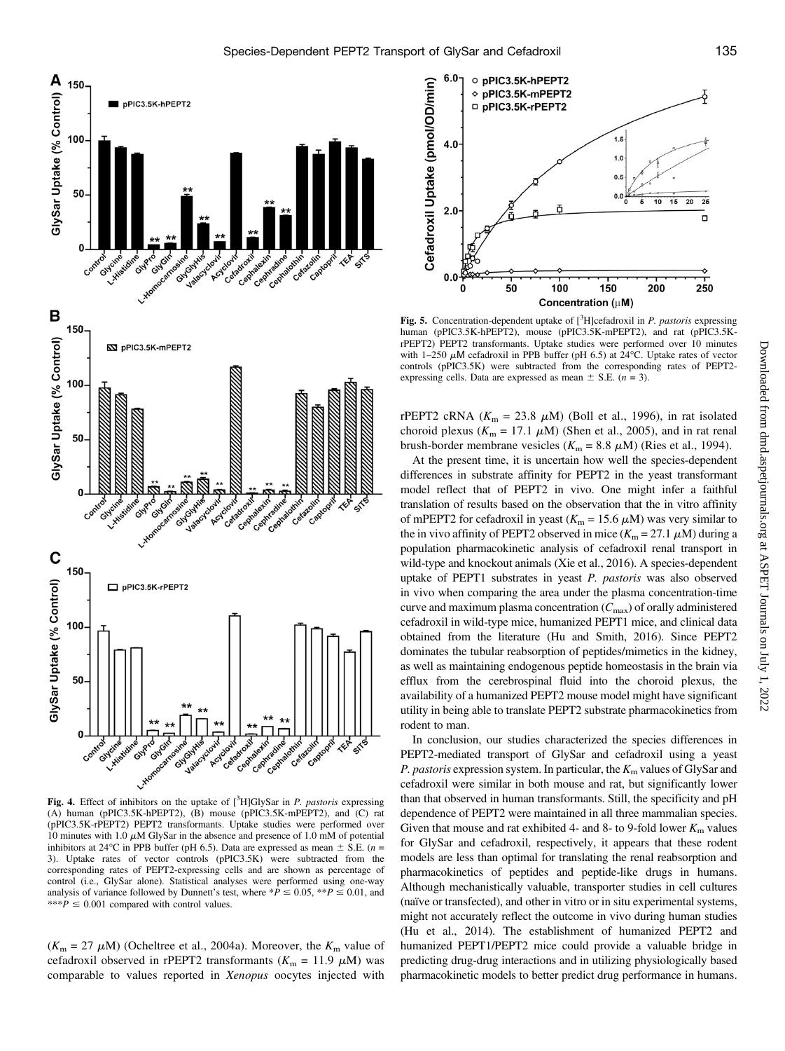

Fig. 4. Effect of inhibitors on the uptake of  $[^{3}H]GlySar$  in *P. pastoris* expressing (A) human (pPIC3.5K-hPEPT2), (B) mouse (pPIC3.5K-mPEPT2), and (C) rat (pPIC3.5K-rPEPT2) PEPT2 transformants. Uptake studies were performed over 10 minutes with 1.0  $\mu$ M GlySar in the absence and presence of 1.0 mM of potential inhibitors at 24 °C in PPB buffer (pH 6.5). Data are expressed as mean  $\pm$  S.E. (*n* = 3). Uptake rates of vector controls (pPIC3.5K) were subtracted from the corresponding rates of PEPT2-expressing cells and are shown as percentage of control (i.e., GlySar alone). Statistical analyses were performed using one-way analysis of variance followed by Dunnett's test, where  $*P \le 0.05$ ,  $*P \le 0.01$ , and \*\*\* $P \leq 0.001$  compared with control values.

 $(K<sub>m</sub> = 27 \mu M)$  (Ocheltree et al., 2004a). Moreover, the  $K<sub>m</sub>$  value of cefadroxil observed in rPEPT2 transformants ( $K_m = 11.9 \mu M$ ) was comparable to values reported in Xenopus oocytes injected with



Fig. 5. Concentration-dependent uptake of  $[^3H]$ cefadroxil in *P. pastoris* expressing human (pPIC3.5K-hPEPT2), mouse (pPIC3.5K-mPEPT2), and rat (pPIC3.5KrPEPT2) PEPT2 transformants. Uptake studies were performed over 10 minutes with 1-250  $\mu$ M cefadroxil in PPB buffer (pH 6.5) at 24°C. Uptake rates of vector controls (pPIC3.5K) were subtracted from the corresponding rates of PEPT2 expressing cells. Data are expressed as mean  $\pm$  S.E. (n = 3).

rPEPT2 cRNA ( $K_m = 23.8 \mu M$ ) (Boll et al., 1996), in rat isolated choroid plexus ( $K_m = 17.1 \mu M$ ) (Shen et al., 2005), and in rat renal brush-border membrane vesicles ( $K_m = 8.8 \mu M$ ) (Ries et al., 1994).

At the present time, it is uncertain how well the species-dependent differences in substrate affinity for PEPT2 in the yeast transformant model reflect that of PEPT2 in vivo. One might infer a faithful translation of results based on the observation that the in vitro affinity of mPEPT2 for cefadroxil in yeast ( $K_m$  = 15.6  $\mu$ M) was very similar to the in vivo affinity of PEPT2 observed in mice  $(K_m = 27.1 \mu M)$  during a population pharmacokinetic analysis of cefadroxil renal transport in wild-type and knockout animals (Xie et al., 2016). A species-dependent uptake of PEPT1 substrates in yeast P. pastoris was also observed in vivo when comparing the area under the plasma concentration-time curve and maximum plasma concentration  $(C_{\text{max}})$  of orally administered cefadroxil in wild-type mice, humanized PEPT1 mice, and clinical data obtained from the literature (Hu and Smith, 2016). Since PEPT2 dominates the tubular reabsorption of peptides/mimetics in the kidney, as well as maintaining endogenous peptide homeostasis in the brain via efflux from the cerebrospinal fluid into the choroid plexus, the availability of a humanized PEPT2 mouse model might have significant utility in being able to translate PEPT2 substrate pharmacokinetics from rodent to man.

In conclusion, our studies characterized the species differences in PEPT2-mediated transport of GlySar and cefadroxil using a yeast P. pastoris expression system. In particular, the  $K<sub>m</sub>$  values of GlySar and cefadroxil were similar in both mouse and rat, but significantly lower than that observed in human transformants. Still, the specificity and pH dependence of PEPT2 were maintained in all three mammalian species. Given that mouse and rat exhibited 4- and 8- to 9-fold lower  $K<sub>m</sub>$  values for GlySar and cefadroxil, respectively, it appears that these rodent models are less than optimal for translating the renal reabsorption and pharmacokinetics of peptides and peptide-like drugs in humans. Although mechanistically valuable, transporter studies in cell cultures (naïve or transfected), and other in vitro or in situ experimental systems, might not accurately reflect the outcome in vivo during human studies (Hu et al., 2014). The establishment of humanized PEPT2 and humanized PEPT1/PEPT2 mice could provide a valuable bridge in predicting drug-drug interactions and in utilizing physiologically based pharmacokinetic models to better predict drug performance in humans.